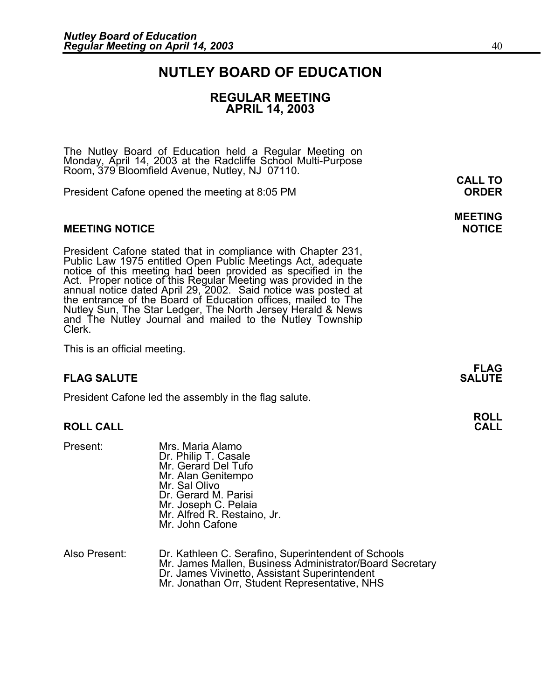### **NUTLEY BOARD OF EDUCATION**

### **REGULAR MEETING APRIL 14, 2003**

The Nutley Board of Education held a Regular Meeting on Monday, April 14, 2003 at the Radcliffe School Multi-Purpose Room, 379 Bloomfield Avenue, Nutley, NJ 07110.

President Cafone opened the meeting at 8:05 PM **ORDER**

#### **MEETING NOTICE NOTICE AND INCLUSION CONTROL**

President Cafone stated that in compliance with Chapter 231, Public Law 1975 entitled Open Public Meetings Act, adequate notice of this meeting had been provided as specified in the Act. Proper notice of this Regular Meeting was provided in the annual notice dated April 29, 2002. Said notice was posted at the entrance of the Board of Educati and The Nutley Journal and mailed to the Nutley Township Clerk.

This is an official meeting.

### **FLAG SALUTE** SALUTE SALUTE SALUTE SALUTE SALUTE SALUTE SALUTE SALUTE SALUTE SALUTE SALUTE SALUTE SALUTE SALUTE SALUTE

President Cafone led the assembly in the flag salute.

#### **ROLL CALL**

- Present: Mrs. Maria Alamo<br>Dr. Philip T. Casale Mr. Gerard Del Tufo Mr. Alan Genitempo Mr. Sal Olivo Dr. Gerard M. Parisi<br>Mr. Joseph C. Pelaia Mr. Alfred R. Restaino, Jr. Mr. John Cafone
- Also Present: Dr. Kathleen C. Serafino, Superintendent of Schools<br>Mr. James Mallen, Business Administrator/Board Secretary Dr. James Vivinetto, Assistant Superintendent<br>Mr. Jonathan Orr, Student Representative, NHS

**CALL TO** 

## **MEETING**

**FLAG** 

**ROLL**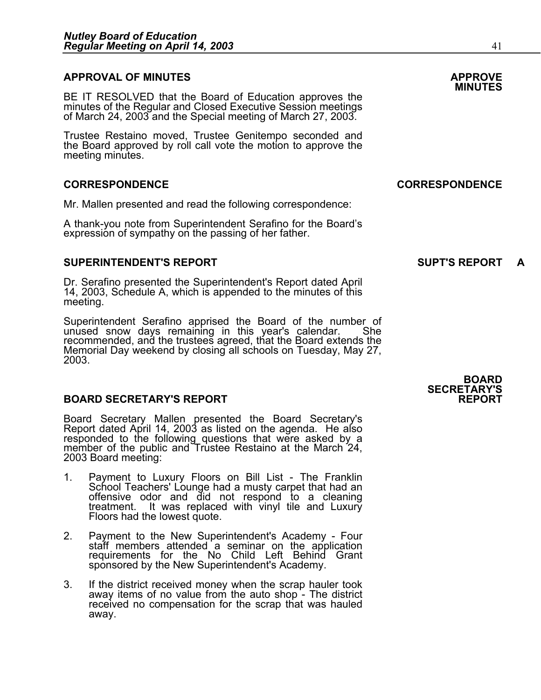### **APPROVAL OF MINUTES APPROVE**

BE IT RESOLVED that the Board of Education approves the minutes of the Regular and Closed Executive Session meetings of March 24, 2003 and the Special meeting of March 27, 2003. 

Trustee Restaino moved, Trustee Genitempo seconded and the Board approved by roll call vote the motion to approve the meeting minutes.

#### **CORRESPONDENCE CORRESPONDENCE**

Mr. Mallen presented and read the following correspondence:

A thank-you note from Superintendent Serafino for the Board's expression of sympathy on the passing of her father.

#### **SUPERINTENDENT'S REPORT SUPT'S REPORT A**

Dr. Serafino presented the Superintendent's Report dated April 14, 2003, Schedule A, which is appended to the minutes of this meeting.

Superintendent Serafino apprised the Board of the number of unused snow days remaining in this year's calendar. She recommended, and the trustees agreed, that the Board extends the Memorial Day weekend by closing all schools on Tuesday, May 27, 2003.

#### **BOARD SECRETARY'S REPORT**

Board Secretary Mallen presented the Board Secretary's Report dated April 14, 2003 as listed on the agenda. He also responded to the following questions that were asked by a member of the public and Trustee Restaino at the March 24, 2003 Board meeting:

- 1. Payment to Luxury Floors on Bill List The Franklin School Teachers' Lounge had a musty carpet that had an offensive odor and did not respond to a cleaning treatment. It was replaced with vinyl tile and Luxury<br>Floors had the lowest quote.
- 2. Payment to the New Superintendent's Academy Four staff members attended a seminar on the application requirements for the No Child Left Behind Grant sponsored by the New Superintendent's Academy.
- 3. If the district received money when the scrap hauler took away items of no value from the auto shop The district received no compensation for the scrap that was hauled away.

**BOARD SECRETARY'S**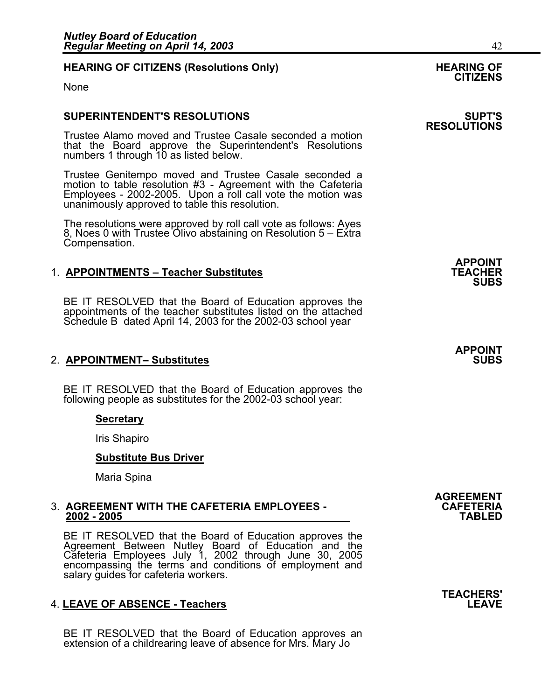#### **HEARING OF CITIZENS (Resolutions Only) THEARING OF STATE AND REARING OF STATE AND REARING OF**

None

#### **SUPERINTENDENT'S RESOLUTIONS SUPT'S**

Trustee Alamo moved and Trustee Casale seconded a motion that the Board approve the Superintendent's Resolutions numbers 1 through 10 as listed below.

Trustee Genitempo moved and Trustee Casale seconded a motion to table resolution #3 - Agreement with the Cafeteria Employees - 2002-2005. Upon a roll call vote the motion was unanimously approved to table this resolution.

The resolutions were approved by roll call vote as follows: Ayes 8, Noes 0 with Trustee Olivo abstaining on Resolution 5 – Extra Compensation.

#### 1. **APPOINTMENTS - Teacher Substitutes**

BE IT RESOLVED that the Board of Education approves the appointments of the teacher substitutes listed on the attached Schedule B dated April 14, 2003 for the 2002-03 school year

#### **2. APPOINTMENT- Substitutes**

BE IT RESOLVED that the Board of Education approves the following people as substitutes for the 2002-03 school year:

#### **Secretary**

Iris Shapiro

#### **Substitute Bus Driver**

Maria Spina

## 3. **AGREEMENT WITH THE CAFETERIA EMPLOYEES - CAFETERIA 2002 - 2005 TABLED**

BE IT RESOLVED that the Board of Education approves the Agreement Between Nutley Board of Education and the Cafeteria Employees July 1, 2002 through June 30, 2005 encompassing the terms and conditions of employment and<br>salary guides for cafeteria workers.

#### 4. **LEAVE OF ABSENCE - Teachers LEAVE**

BE IT RESOLVED that the Board of Education approves an extension of a childrearing leave of absence for Mrs. Mary Jo

## **CITIZENS**

## **RESOLUTIONS**

**APPOINT SUBS** 

## **APPOINT**

**AGREEMENT** 

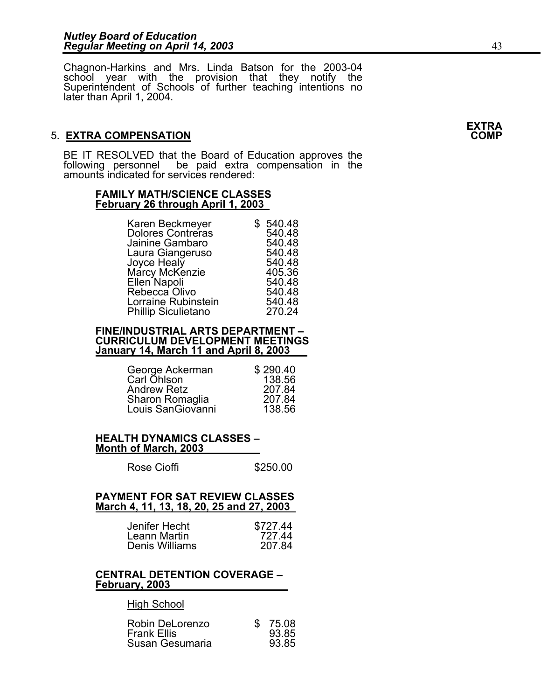Chagnon-Harkins and Mrs. Linda Batson for the 2003-04 school year with the provision that they notify the Superintendent of Schools of further teaching intentions no later than April 1, 2004.

### **5. EXTRA COMPENSATION**

BE IT RESOLVED that the Board of Education approves the following personnel be paid extra compensation in the amounts indicated for services rendered:

#### **FAMILY MATH/SCIENCE CLASSES February 26 through April 1, 2003**

| Karen Beckmeyer            | \$540.48 |
|----------------------------|----------|
| <b>Dolores Contreras</b>   | 540.48   |
| Jainine Gambaro            | 540.48   |
| Laura Giangeruso           | 540.48   |
| Joyce Healy                | 540.48   |
| Márcy McKenzie             | 405.36   |
| Ellen Napoli               | 540.48   |
| Rebecca Olivo              | 540.48   |
| Lorraine Rubinstein        | 540.48   |
| <b>Phillip Siculietano</b> | 270.24   |
|                            |          |

### **FINE/INDUSTRIAL ARTS DEPARTMENT – CURRICULUM DEVELOPMENT MEETINGS January 14, March 11 and April 8, 2003**

| George Ackerman    | \$290.40 |
|--------------------|----------|
| Carl Ohlson        | 138.56   |
| <b>Andrew Retz</b> | 207.84   |
| Sharon Romaglia    | 207.84   |
| Louis SanGiovanni  | 138.56   |

#### **HEALTH DYNAMICS CLASSES – Month of March, 2003**

| Rose Cioffi | \$250.00 |
|-------------|----------|
|-------------|----------|

#### **PAYMENT FOR SAT REVIEW CLASSES March 4, 11, 13, 18, 20, 25 and 27, 2003**

| Jenifer Hecht  | \$727.44 |
|----------------|----------|
| Leann Martin   | 727 44   |
| Denis Williams | 207.84   |

#### **CENTRAL DETENTION COVERAGE – February, 2003**

### High School

| Robin DeLorenzo    | \$75.08 |
|--------------------|---------|
| <b>Frank Ellis</b> | 93.85   |
| Susan Gesumaria    | 93.85   |

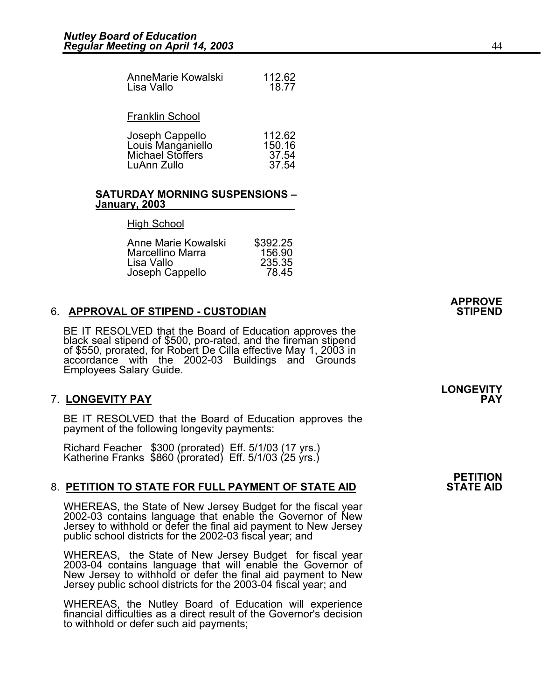٦

| AnneMarie Kowalski | 112.62 |
|--------------------|--------|
| Lisa Vallo         | 18.77  |
|                    |        |

#### Franklin School

| Joseph Cappello         | 112.62 |
|-------------------------|--------|
| Louis Manganiello       | 150.16 |
| <b>Michael Stoffers</b> | 37.54  |
| LuAnn Zullo             | 37.54  |

#### **SATURDAY MORNING SUSPENSIONS – January, 2003**

#### High School

| Anne Marie Kowalski     | \$392.25 |
|-------------------------|----------|
| <b>Marcellino Marra</b> | 156.90   |
| Lisa Vallo              | 235.35   |
| Joseph Cappello         | 78.45    |

### **6. APPROVAL OF STIPEND - CUSTODIAN**

BE IT RESOLVED that the Board of Education approves the black seal stipend of \$500, pro-rated, and the fireman stipend of \$550, prorated, for Robert De Cilla effective May 1, 2003 in accordance with the 2002-03 Buildings a Employees Salary Guide.

### 7. **LONGEVITY PAY PAY**

BE IT RESOLVED that the Board of Education approves the payment of the following longevity payments:

Richard Feacher \$300 (prorated) Eff. 5/1/03 (17 yrs.) Katherine Franks \$860 (prorated) Eff. 5/1/03 (25 yrs.)

### 8. **PETITION TO STATE FOR FULL PAYMENT OF STATE AID**

WHEREAS, the State of New Jersey Budget for the fiscal year 2002-03 contains language that enable the Governor of New Jersey to withhold or defer the final aid payment to New Jersey public school districts for the 2002-03 fiscal year; and

WHEREAS, the State of New Jersey Budget for fiscal year 2003-04 contains language that will enable the Governor of New Jersey to withhold or defer the final aid payment to New Jersey public school districts for the 2003-04 fiscal year; and

WHEREAS, the Nutley Board of Education will experience financial difficulties as a direct result of the Governor's decision to withhold or defer such aid payments;

**LONGEVITY** 

**APPROVE** 

## **PETITION**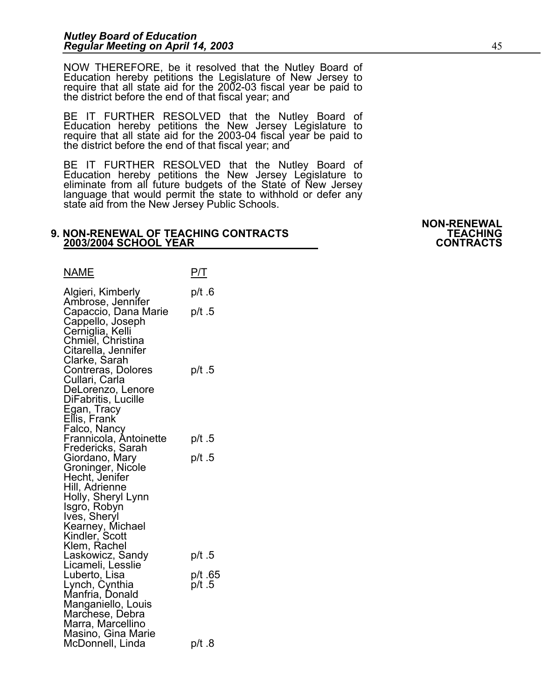NOW THEREFORE, be it resolved that the Nutley Board of Education hereby petitions the Legislature of New Jersey to require that all state aid for the 2002-03 fiscal year be paid to the district before the end of that fiscal year; and

BE IT FURTHER RESOLVED that the Nutley Board of Education hereby petitions the New Jersey Legislature to require that all state aid for the 2003-04 fiscal year be paid to<br>the district before the end of that fiscal year; and

BE IT FURTHER RESOLVED that the Nutley Board of Education hereby petitions the New Jersey Legislature to eliminate from all future budgets of the State of New Jersey<br>language that would permit the state to withhold or defer any state aid from the New Jersey Public Schools.

#### **9. NON-RENEWAL OF TEACHING CONTRACTS TEACHING 2003/2004 SCHOOL YEAR**

NAME P/T Algieri, Kimberly p/t .6 Ambrose, Jennifer Capaccio, Dana Marie p/t .5 Cappello, Joseph Cerniglia, Kelli<br>Chmiel, Christina Citarella, Jennifer Clarke, Sarah Contreras, Dolores p/t .5 Cullari, Carla DeLorenzo, Lenore DiFabritis, Lucille Egan, Tracy Ellis, Frank Falco, Nancy Frannicola, Antoinette p/t .5 Fredericks, Sarah Giordano, Mary p/t 5 Groninger, Nicole Hecht, Jenifer Hill, Adrienne Holly, Sheryl Lynn Isgro, Robyn Ives, Sheryl Kearney, Michael Kindler, Scott<br>Klem, Rachel Klem, Rachel<br>Laskowicz, Sandy p/t .5 Licameli, Lesslie Luberto, Lisa p/t .65 Lynch, Cynthia p/t .5 Manfria, Donald Manganiello, Louis Marchese, Debra Marra, Marcellino Masino, Gina Marie McDonnell, Linda p/t 8

**NON-RENEWAL**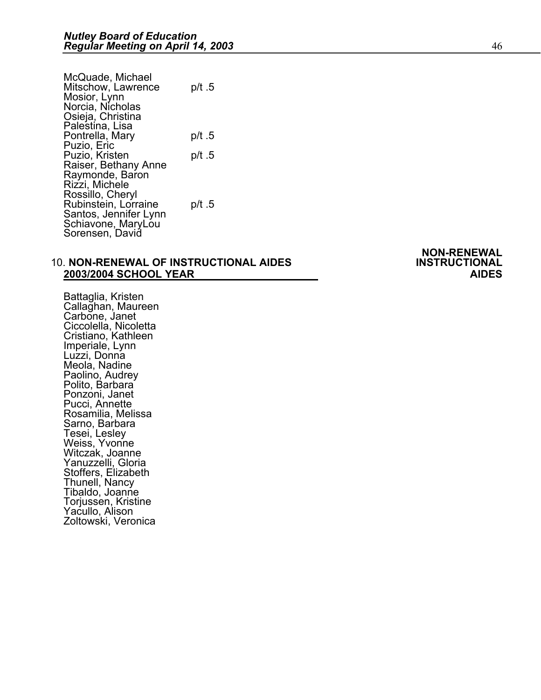| McQuade, Michael<br>Mitschow, Lawrence | p/t .5 |
|----------------------------------------|--------|
| Mosior, Lynn                           |        |
| Norcia, Nicholas                       |        |
| Osieja, Christina                      |        |
| Palestina, Lisa                        |        |
| Pontrella, Mary                        | p/t .5 |
| Puzio, Eric                            |        |
| Puzio, Kristen                         | p/t .5 |
| Raiser, Bethany Anne                   |        |
| Raymonde, Baron                        |        |
| Rizzi, Michele                         |        |
| Rossillo, Cheryl                       |        |
| Rubinstein, Lorraine                   | p/t .5 |
| Santos, Jennifer Lynn                  |        |
| Schiavone, MaryLou                     |        |
| Sorensen, David                        |        |

### **10. NON-RENEWAL OF INSTRUCTIONAL AIDES 2003/2004 SCHOOL YEAR AIDES**

Battaglia, Kristen Callaghan, Maureen Carbone, Janet Ciccolella, Nicoletta Cristiano, Kathleen Imperiale, Lynn Luzzi, Donna Meola, Nadine Paolino, Audrey Polito, Barbara Ponzoni, Janet Pucci, Annette Rosamilia, Melissa Sarno, Barbara Tesei, Lesley Weiss, Yvonne Witczak, Joanne Yanuzzelli, Gloria Stoffers, Elizabeth Thunell, Nancy Tibaldo, Joanne Torjussen, Kristine Yacullo, Alison Zoltowski, Veronica

**NON-RENEWAL**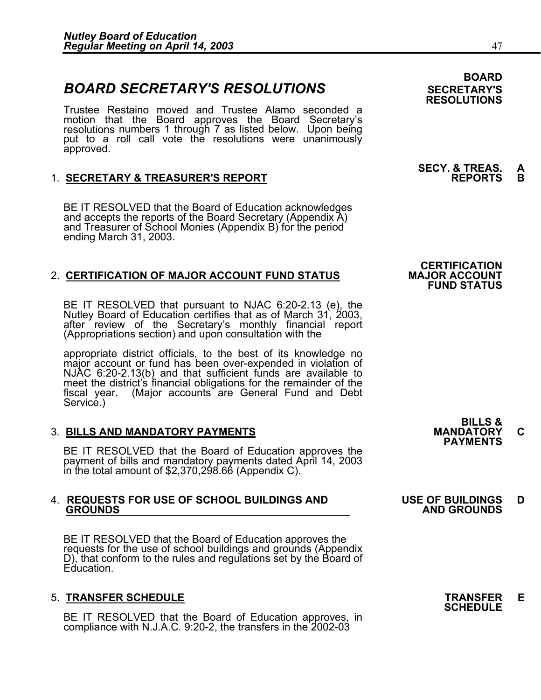### **BOARD SECRETARY'S RESOLUTIONS** SECRETARY'S

Trustee Restaino moved and Trustee Alamo seconded a motion that the Board approves the Board Secretary's resolutions numbers 1 through 7 as listed below. Upon being put to a roll call vote the resolutions were unanimously approved.

### 1. **SECRETARY & TREASURER'S REPORT**

BE IT RESOLVED that the Board of Education acknowledges and accepts the reports of the Board Secretary (Appendix A) and Treasurer of School Monies (Appendix B) for the period ending March 31, 2003.

### 2. **CERTIFICATION OF MAJOR ACCOUNT FUND STATUS**

BE IT RESOLVED that pursuant to NJAC 6:20-2.13 (e), the Nutley Board of Education certifies that as of March 31, 2003, after review of the Secretary's monthly financial report (Appropriations section) and upon consultation with the

appropriate district officials, to the best of its knowledge no major account or fund has been over-expended in violation of NJAC 6:20-2.13(b) and that sufficient funds are available to meet the district's financial obligations for the remainder of the fiscal year. (Major accounts are General Fund and Debt Service.)

### 3. **BILLS AND MANDATORY PAYMENTS MANDATORY C PAYMENTS**

BE IT RESOLVED that the Board of Education approves the payment of bills and mandatory payments dated April 14, 2003 in the total amount of \$2,370,298.66 (Appendix C).

## 4. **REQUESTS FOR USE OF SCHOOL BUILDINGS AND USE OF BUILDINGS D GROUNDS AND GROUNDS**

BE IT RESOLVED that the Board of Education approves the requests for the use of school buildings and grounds (Appendix D), that conform to the rules and regulations set by the Board of Education.

5. **TRANSFER SCHEDULE**<br>BE IT RESOLVED that the Board of Education approves, in **SCHEDULE** compliance with N.J.A.C. 9:20-2, the transfers in the  $2002-03$ 

### **BOARD RESOLUTIONS**

## **SECY. & TREAS. A**

### **CERTIFICATION<br>MAJOR ACCOUNT FUND STATUS**

# **BILLS &**

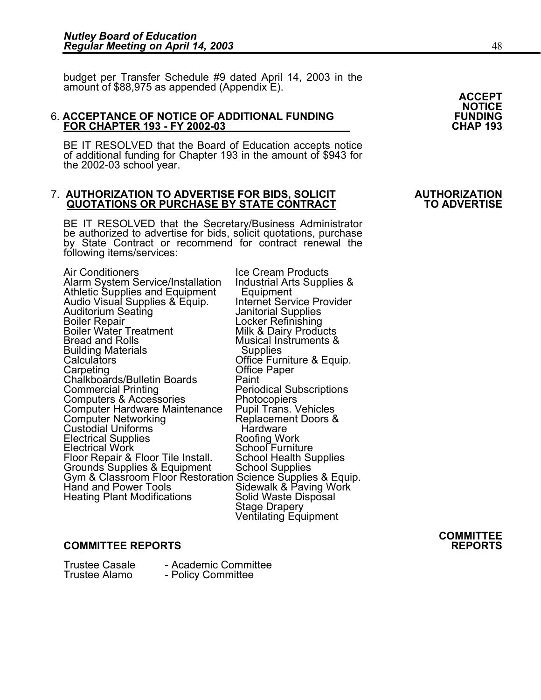budget per Transfer Schedule #9 dated April 14, 2003 in the<br>amount of \$88,975 as appended (Appendix E).<br>**ACCEPT** 

#### 6. **ACCEPTANCE OF NOTICE OF ADDITIONAL FUNDING FUNDING FOR CHAPTER 193 - FY 2002-03**

BE IT RESOLVED that the Board of Education accepts notice of additional funding for Chapter 193 in the amount of \$943 for the 2002-03 school year.

#### 7. **AUTHORIZATION TO ADVERTISE FOR BIDS, SOLICIT AUTHORIZATION QUOTATIONS OR PURCHASE BY STATE CONTRACT**

BE IT RESOLVED that the Secretary/Business Administrator<br>be authorized to advertise for bids, solicit quotations, purchase<br>by State Contract or recommend for contract renewal the following items/services:

Air Conditioners<br>Alarm System Service/Installation Industrial Arts Supplies & Athletic Supplies and Equipment Audio Visual Supplies & Equipment Audio Visual Supplies & Equip. Internet Serv<br>Auditorium Seating burger and Equip. Internet Service Provider Audio Visual Supplies & Equip. Internet Service Provider<br>Auditorium Seating Manitorial Supplies<br>Boiler Repair Manitorial Supplies Boiler Water Treatment Milk & Dairy Products<br>Bread and Rolls Musical Instruments &<br>Building Materials Musical Supplies Calculators Office Furniture & Equip.<br>
Carpeting Chalkboards/Bulletin Boards Office Paper<br>
Commercial Printing Periodical Subscriptions Computers & Accessories<br>
Computer Hardware Maintenance Pupil Trans. Vehicles Computer Hardware Maintenance Pupil Trans. Vehicles<br>
Computer Networking Replacement Doors &<br>
Custodial Uniforms Hardware<br>
Electrical Supplies Roofing Work<br>
Electrical Work School Furniture Electrical Supplies<br>
Electrical Work Blectrical Work School Furniture<br>
Floor Repair & Floor Tile Install. School Health Supplies Floor Repair & Floor Tile Install. School Health Supplies<br>Grounds Supplies & Equipment School Supplies Gym & Classroom Floor Restoration Science Supplies & Equip.

Periodical Subscriptions<br>Photocopiers Hand and Power Tools Sidewalk & Paving Work<br>Heating Plant Modifications Solid Waste Disposal<br>Stage Drapery<br>Ventilating Equipment

**COMMITTEE** 

### **COMMITTEE REPORTS REPORTS**

Trustee Casale <sup>-</sup> Academic Committee<br>Trustee Alamo - Policy Committee - Policy Committee

**NOTICE**